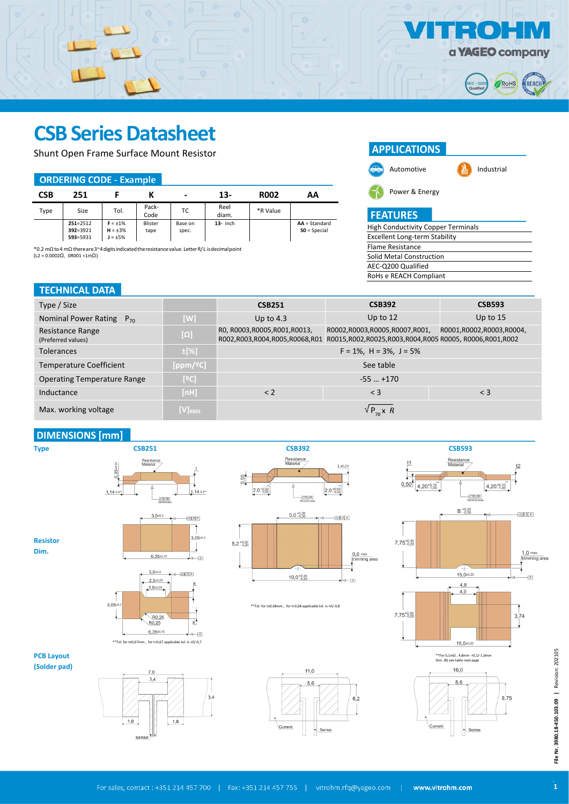

RoHS

REACH

 **AEC - Q200 Qualified** 

 $\mathbf{=}$  $\bullet$ 

High Conductivity Copper Terminals Excellent Long-term Stability

Current

 $\left\langle \frac{\text{Sense}}{\text{Sense}} \right\rangle$ 

Power & Energy

**APPLICATIONS** 

Automotive **Industrial** 

Flame Resistance

 $\sqrt{P_{70} \times R}$ 

**FEATURES** 

# **CSB Series Datasheet**

Shunt Open Frame Surface Mount Resistor

#### **ORDERING CODE - Example**

| <b>CSB</b> | 251                                  |                                                |                 | $\overline{\phantom{0}}$ | 13-           | <b>R002</b> | AA                                |
|------------|--------------------------------------|------------------------------------------------|-----------------|--------------------------|---------------|-------------|-----------------------------------|
| Type       | Size                                 | Tol.                                           | Pack-<br>Code   | ТC                       | Reel<br>diam. | *R Value    |                                   |
|            | $251 = 2512$<br>392=3921<br>593=5931 | $F = \pm 1\%$<br>$H = \pm 3\%$<br>$J = \pm 5%$ | Blister<br>tape | Base on<br>spec.         | $13-$ inch    |             | $AA = Standard$<br>$SO = Special$ |

\*0.2 mΩ to4 mΩ thereare3~4digitsindicatedtheresistancevalue.LetterR/L isdecimalpoint (L2 = 0.0002Ω, 0R001 =1mΩ)

## **TECHNICAL DA**

| $2 = 0.0002\Omega$ , $0$ R001 = 1m $\Omega$ ) |            | <b>Solid Metal Construction</b> |                                                                                                                       |                          |
|-----------------------------------------------|------------|---------------------------------|-----------------------------------------------------------------------------------------------------------------------|--------------------------|
|                                               |            |                                 | AEC-Q200 Qualified                                                                                                    |                          |
|                                               |            |                                 | RoHs e REACH Compliant                                                                                                |                          |
| <b>TECHNICAL DATA</b>                         |            |                                 |                                                                                                                       |                          |
| Type / Size                                   |            | <b>CSB251</b>                   | <b>CSB392</b>                                                                                                         | <b>CSB593</b>            |
| Nominal Power Rating<br>$P_{70}$              | [W]        | Up to $4.3$                     | Up to $12$                                                                                                            | Up to $15$               |
| Resistance Range<br>(Preferred values)        | $[\Omega]$ | RO, R0003, R0005, R001, R0013,  | R0002,R0003,R0005,R0007,R001,<br>R002,R003,R004,R005,R0068,R01 R0015,R002,R0025,R003,R004,R005 R0005, R0006,R001,R002 | R0001,R0002,R0003,R0004, |
| <b>Tolerances</b>                             | $\pm$ [%]  |                                 | $F = 1\%$ , H = 3%, J = 5%                                                                                            |                          |
| Temperature Coefficient                       | [ppm/°C]   |                                 | See table                                                                                                             |                          |
| <b>Operating Temperature Range</b>            | [°C]       |                                 | $-55$ $+170$                                                                                                          |                          |

## **DIMENSIONS** [mm]

Max. working voltage **[V]**<sub>RM</sub>

 $\boxed{1,8}$ 

 $\boxed{1,8}$ 



Inductance **[nH]** [nH]  $\le$  2  $\le$  3  $\le$  3

File Nr. 3980.18-450.103.09 | Revision: 202105 **File Nr. 3980.18-450.103.09 |** Revision: 202105

Current

 $\cdot$  Sense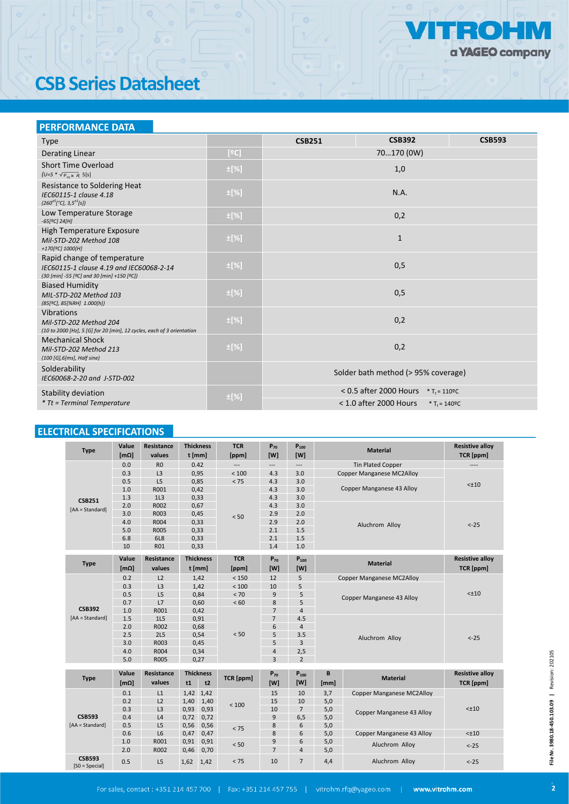

# **CSB Series Datasheet**

## **PERFORMANCE DATA**

| <b>Type</b>                                                                                                           |           | <b>CSB251</b>                                        | <b>CSB392</b>                                                    | <b>CSB593</b> |  |  |
|-----------------------------------------------------------------------------------------------------------------------|-----------|------------------------------------------------------|------------------------------------------------------------------|---------------|--|--|
| Derating Linear                                                                                                       | [°C]      | 70170 (0W)                                           |                                                                  |               |  |  |
| Short Time Overload<br>$(U=5 * \sqrt{P_{70} \times R}$ 5[s]                                                           | ±[%]      | 1,0                                                  |                                                                  |               |  |  |
| Resistance to Soldering Heat<br>IEC60115-1 clause 4.18<br>$(260^{\pm 5} [^{\circ}C], 3.5^{\pm 1}[s])$                 | $\pm$ [%] |                                                      | N.A.                                                             |               |  |  |
| Low Temperature Storage<br>$-65[°C]$ 24[H]                                                                            | $\pm$ [%] |                                                      | 0,2                                                              |               |  |  |
| High Temperature Exposure<br>Mil-STD-202 Method 108<br>+170[ <sup>9</sup> C] 1000[H]                                  | $\pm$ [%] |                                                      | $\mathbf{1}$                                                     |               |  |  |
| Rapid change of temperature<br>IEC60115-1 clause 4.19 and IEC60068-2-14<br>(30 [min] -55 [ºC] and 30 [min] +150 [ºC]) | ±[%]      | 0,5                                                  |                                                                  |               |  |  |
| <b>Biased Humidity</b><br>MIL-STD-202 Method 103<br>(85[ºC], 85[%RH] 1.000[h])                                        | $\pm$ [%] | 0,5                                                  |                                                                  |               |  |  |
| <b>Vibrations</b><br>Mil-STD-202 Method 204<br>(10 to 2000 [Hz], 5 [G] for 20 [min], 12 cycles, each of 3 orientation | $\pm$ [%] | 0,2                                                  |                                                                  |               |  |  |
| <b>Mechanical Shock</b><br>Mil-STD-202 Method 213<br>(100 [G], 6[ms], Half sine)                                      | $\pm$ [%] |                                                      | 0,2                                                              |               |  |  |
| Solderability<br>IEC60068-2-20 and J-STD-002                                                                          |           |                                                      | Solder bath method (> 95% coverage)                              |               |  |  |
| Stability deviation                                                                                                   | $\pm$ [%] |                                                      | $< 0.5$ after 2000 Hours $*$ T <sub>t</sub> = 110 <sup>o</sup> C |               |  |  |
| * Tt = Terminal Temperature                                                                                           |           | $<$ 1.0 after 2000 Hours<br>* T <sub>t</sub> = 140°C |                                                                  |               |  |  |

## ELECTRICAL SPECIFICATIONS

| <b>Type</b>                       | Value<br>[m <sub>Ω</sub> ] | <b>Resistance</b><br>values | t [mm]                                       | <b>Thickness</b> | <b>TCR</b><br>[ppm]      | $P_{70}$<br>[W]          | $P_{100}$<br>[W]         |                                  | <b>Material</b>                  | <b>Resistive alloy</b><br><b>TCR</b> [ppm] |  |
|-----------------------------------|----------------------------|-----------------------------|----------------------------------------------|------------------|--------------------------|--------------------------|--------------------------|----------------------------------|----------------------------------|--------------------------------------------|--|
|                                   | 0.0                        | R <sub>0</sub>              |                                              | 0.42             | $\overline{\phantom{a}}$ | $\overline{\phantom{a}}$ | $\overline{\phantom{a}}$ | <b>Tin Plated Copper</b>         |                                  | $\overline{\phantom{a}}$                   |  |
| <b>CSB251</b>                     | 0.3                        | L <sub>3</sub>              |                                              | 0,95             | $<100$                   | 4.3                      | 3.0                      |                                  | <b>Copper Manganese MC2Alloy</b> |                                            |  |
|                                   | 0.5                        | L5                          |                                              | 0,85             | < 75                     | 4.3                      | 3.0                      |                                  |                                  | $< \pm 10$                                 |  |
|                                   | 1.0                        | R001                        |                                              | 0.42             |                          | 4.3                      | 3.0                      |                                  | Copper Manganese 43 Alloy        |                                            |  |
|                                   | 1.3                        | 1L <sub>3</sub>             |                                              | 0,33             |                          | 4.3                      | 3.0                      |                                  |                                  |                                            |  |
| [AA = Standard]                   | 2.0                        | R002                        |                                              | 0,67             |                          | 4.3                      | 3.0                      |                                  |                                  |                                            |  |
|                                   | 3.0                        | R003                        |                                              | 0,45             | < 50                     | 2.9                      | 2.0                      | Aluchrom Alloy                   |                                  |                                            |  |
|                                   | 4.0                        | R004                        |                                              | 0,33             |                          | 2.9                      | 2.0                      |                                  |                                  | $< -25$                                    |  |
|                                   | 5.0                        | <b>R005</b>                 |                                              | 0,33             |                          | 2.1                      | 1.5                      |                                  |                                  |                                            |  |
|                                   | 6.8                        | 6L8                         |                                              | 0,33             |                          | 2.1                      | 1.5                      |                                  |                                  |                                            |  |
|                                   | 10                         | <b>R01</b>                  |                                              | 0,33             |                          | 1.4                      | 1.0                      |                                  |                                  |                                            |  |
|                                   | Value                      | Resistance                  |                                              | <b>Thickness</b> | <b>TCR</b>               | $P_{70}$                 | $P_{100}$                |                                  |                                  | <b>Resistive alloy</b>                     |  |
| <b>Type</b>                       | [m <sub>Ω</sub> ]          | values                      |                                              | t [mm]           | [ppm]                    | [W]                      | [W]                      | <b>Material</b>                  |                                  | <b>TCR</b> [ppm]                           |  |
|                                   | 0.2                        | L2                          |                                              | 1,42             | < 150                    | 12                       | 5                        | <b>Copper Manganese MC2Alloy</b> |                                  | $< \pm 10$                                 |  |
|                                   | 0.3                        | L <sub>3</sub>              |                                              | 1,42             | < 100                    | 10                       | 5                        |                                  |                                  |                                            |  |
|                                   | 0.5                        | L5                          |                                              | 0,84             | < 70                     | 9                        | 5                        | Copper Manganese 43 Alloy        |                                  |                                            |  |
|                                   | 0.7                        | L7                          |                                              | 0,60             | < 60                     | 8                        | 5                        |                                  |                                  |                                            |  |
| <b>CSB392</b>                     | 1.0                        | R001                        | 0,42<br>0,91<br>0,68<br>0,54<br>0,45<br>0,34 |                  | < 50                     | $\overline{7}$           | $\overline{4}$           | Aluchrom Alloy                   |                                  |                                            |  |
| [AA = Standard]                   | 1.5                        | 1L5                         |                                              |                  |                          | $\overline{7}$           | 4.5                      |                                  |                                  | $< -25$                                    |  |
|                                   | 2.0                        | R002                        |                                              |                  |                          | 6                        | $\overline{4}$           |                                  |                                  |                                            |  |
|                                   | 2.5                        | 2L5                         |                                              |                  |                          | 5                        | 3.5                      |                                  |                                  |                                            |  |
|                                   | 3.0                        | R003                        |                                              |                  |                          | 5                        | 3                        |                                  |                                  |                                            |  |
|                                   | 4.0                        | R004                        |                                              |                  |                          | $\overline{4}$           | 2,5                      |                                  |                                  |                                            |  |
|                                   | 5.0                        | R005                        |                                              | 0,27             |                          | 3                        | $\overline{2}$           |                                  |                                  |                                            |  |
|                                   | Value                      | Resistance                  |                                              | <b>Thickness</b> |                          | $P_{70}$                 | $P_{100}$                | B                                |                                  | <b>Resistive alloy</b>                     |  |
| <b>Type</b>                       |                            | values                      |                                              |                  | TCR [ppm]                | [W]                      | [W]                      |                                  | <b>Material</b>                  |                                            |  |
|                                   | [m <sub>Ω</sub> ]          |                             | t1                                           | t2               |                          |                          |                          | [mm]                             |                                  | TCR [ppm]                                  |  |
|                                   | 0.1                        | L1                          |                                              | 1,42 1,42        |                          | 15                       | 10                       | 3,7                              | <b>Copper Manganese MC2Alloy</b> |                                            |  |
| <b>CSB593</b>                     | 0.2                        | L2                          | 1,40                                         | 1,40             | < 100                    | 15                       | 10                       | 5,0                              | <b>Copper Manganese 43 Alloy</b> |                                            |  |
|                                   | 0.3                        | L <sub>3</sub>              | 0,93                                         | 0,93             |                          | 10                       | $\overline{7}$           | 5,0                              |                                  | $< \pm 10$                                 |  |
|                                   | 0.4                        | L4                          | 0,72                                         | 0,72             |                          | 9                        | 6,5                      | 5,0                              |                                  |                                            |  |
| [AA = Standard]                   | 0.5                        | L5                          | 0,56                                         | 0,56             | < 75                     | 8                        | 6                        | 5,0                              |                                  |                                            |  |
|                                   | 0.6                        | L <sub>6</sub>              | 0,47                                         | 0,47             |                          | 8                        | 6                        | 5,0                              | <b>Copper Manganese 43 Alloy</b> | $< \pm 10$                                 |  |
|                                   | 1.0                        | R001                        | 0,91                                         | 0,91             | < 50                     | 9                        | 6                        | 5,0                              | Aluchrom Alloy                   | $< -25$                                    |  |
|                                   | 2.0                        | R002                        | 0,46                                         | 0,70             |                          | $\overline{7}$           | 4                        | 5,0                              |                                  |                                            |  |
| <b>CSB593</b><br>$[SO = Special]$ | 0.5                        | L5                          | 1,62                                         | 1,42             | < 75                     | 10                       | $\overline{7}$           | 4,4                              | Aluchrom Alloy                   | $< -25$                                    |  |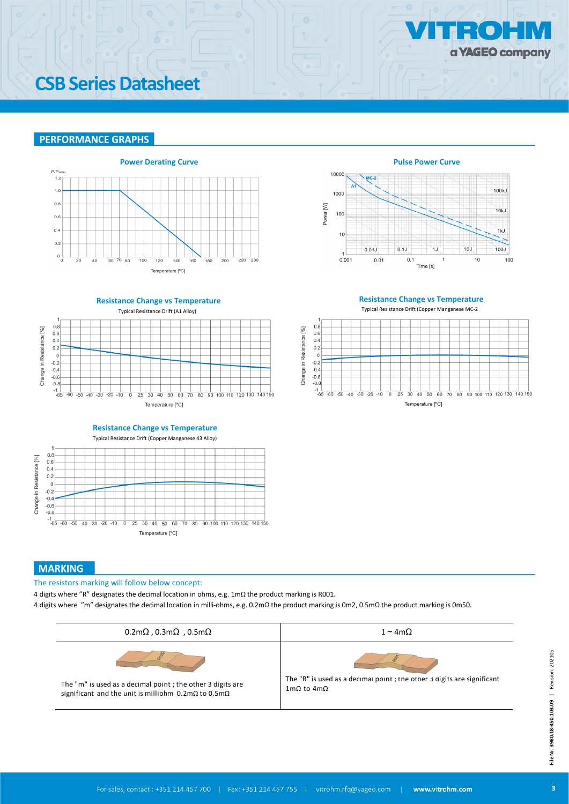

## **CSB Series Datasheet**

### **PERFORMANCE GRAPHS**



 **Pulse Power Curve**



**Resistance Change vs Temperature**





**Resistance Change vs Temperature** Typical Resistance Drift (Copper Manganese 43 Alloy)



## **MARKING**

The resistors marking will follow below concept:

4 digits where "R" designates the decimal location in ohms, e.g. 1mΩ the product marking is R001.

4 digits where "m" designates the decimal location in milli-ohms, e.g. 0.2mΩ the product marking is 0m2, 0.5mΩ the product marking is 0m50.